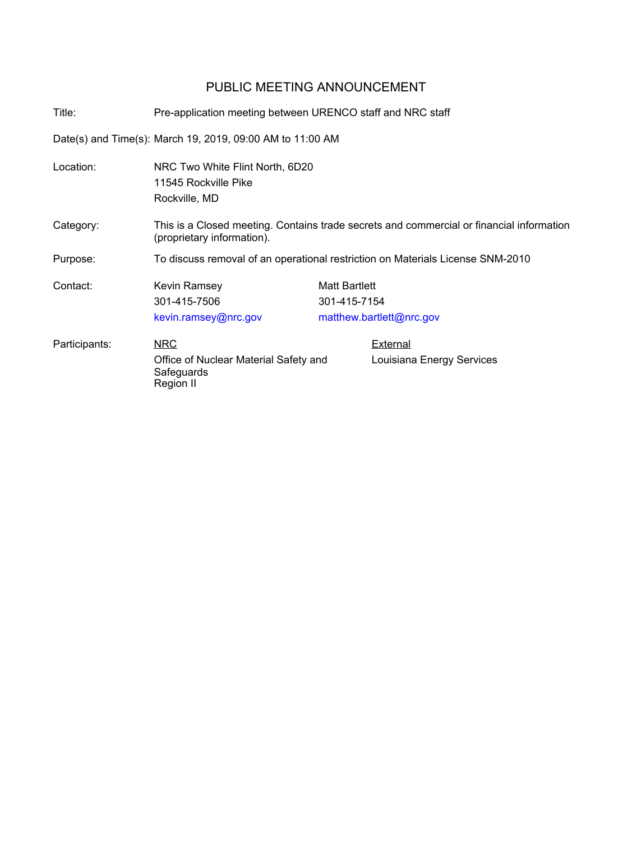## PUBLIC MEETING ANNOUNCEMENT

Title: Pre-application meeting between URENCO staff and NRC staff Date(s) and Time(s): March 19, 2019, 09:00 AM to 11:00 AM Location: NRC Two White Flint North, 6D20 11545 Rockville Pike Rockville, MD Category: This is a Closed meeting. Contains trade secrets and commercial or financial information (proprietary information). Purpose: To discuss removal of an operational restriction on Materials License SNM-2010 Contact: Kevin Ramsey 301-415-7506 kevin.ramsey@nrc.gov Matt Bartlett 301-415-7154 matthew.bartlett@nrc.gov NRC Office of Nuclear Material Safety and **Safeguards** Region II Participants: NRC NRC External Louisiana Energy Services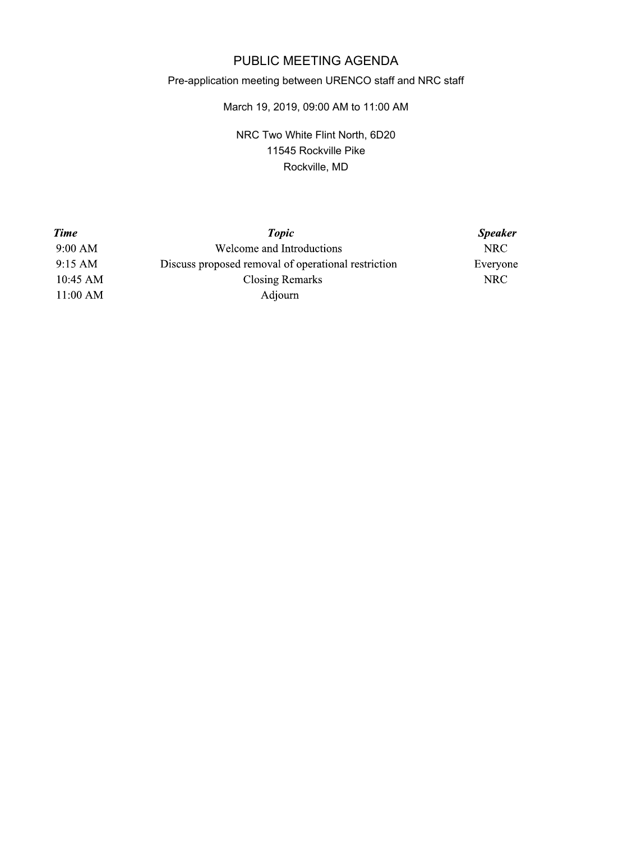## PUBLIC MEETING AGENDA

## Pre-application meeting between URENCO staff and NRC staff

## March 19, 2019, 09:00 AM to 11:00 AM

NRC Two White Flint North, 6D20 11545 Rockville Pike Rockville, MD

| <b>Time</b>       | <b>Topic</b>                                        | <b>Speaker</b> |
|-------------------|-----------------------------------------------------|----------------|
| 9:00 AM           | Welcome and Introductions                           | NRC.           |
| $9:15 \text{ AM}$ | Discuss proposed removal of operational restriction | Everyone       |
| $10:45$ AM        | Closing Remarks                                     | NRC            |
| 11:00 AM          | Adjourn                                             |                |